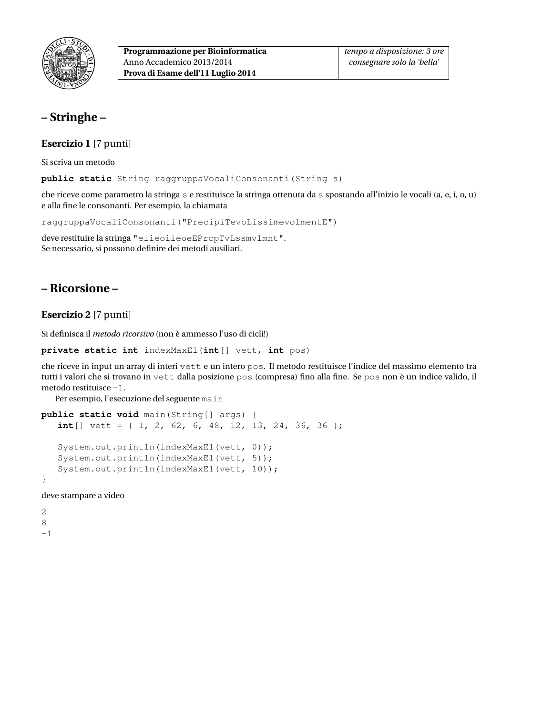

## **– Stringhe –**

**Esercizio 1** [7 punti]

Si scriva un metodo

**public static** String raggruppaVocaliConsonanti(String s)

che riceve come parametro la stringa s e restituisce la stringa ottenuta da s spostando all'inizio le vocali (a, e, i, o, u) e alla fine le consonanti. Per esempio, la chiamata

raggruppaVocaliConsonanti("PrecipiTevoLissimevolmentE")

deve restituire la stringa "eiieoiieoeEPrcpTvLssmvlmnt". Se necessario, si possono definire dei metodi ausiliari.

## **– Ricorsione –**

**Esercizio 2** [7 punti]

Si definisca il *metodo ricorsivo* (non è ammesso l'uso di cicli!)

```
private static int indexMaxEl(int[] vett, int pos)
```
che riceve in input un array di interi vett e un intero pos. Il metodo restituisce l'indice del massimo elemento tra tutti i valori che si trovano in vett dalla posizione pos (compresa) fino alla fine. Se pos non è un indice valido, il metodo restituisce -1.

Per esempio, l'esecuzione del seguente main

```
public static void main(String[] args) {
   int[] vett = { 1, 2, 62, 6, 48, 12, 13, 24, 36, 36 };
   System.out.println(indexMaxEl(vett, 0));
   System.out.println(indexMaxEl(vett, 5));
   System.out.println(indexMaxEl(vett, 10));
}
```
deve stampare a video

2 8 -1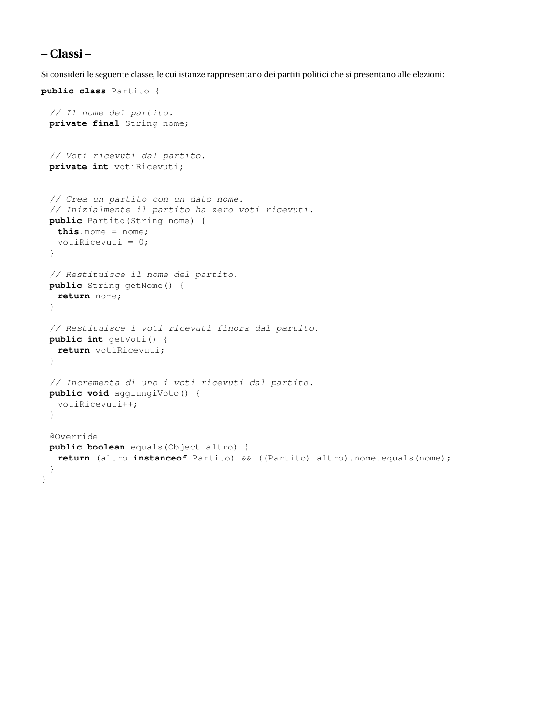## **– Classi –**

Si consideri le seguente classe, le cui istanze rappresentano dei partiti politici che si presentano alle elezioni:

```
public class Partito {
 // Il nome del partito.
 private final String nome;
 // Voti ricevuti dal partito.
 private int votiRicevuti;
 // Crea un partito con un dato nome.
 // Inizialmente il partito ha zero voti ricevuti.
 public Partito(String nome) {
  this.nome = nome;
  votiRicevuti = 0;
 }
 // Restituisce il nome del partito.
 public String getNome() {
  return nome;
 }
 // Restituisce i voti ricevuti finora dal partito.
 public int getVoti() {
  return votiRicevuti;
 }
 // Incrementa di uno i voti ricevuti dal partito.
 public void aggiungiVoto() {
  votiRicevuti++;
 }
 @Override
 public boolean equals(Object altro) {
  return (altro instanceof Partito) && ((Partito) altro).nome.equals(nome);
 }
}
```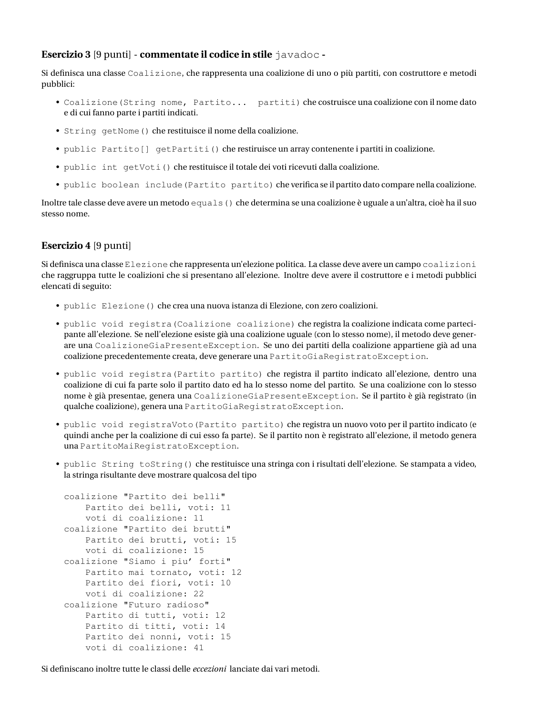### **Esercizio 3** [9 punti] - **commentate il codice in stile** javadoc **-**

Si definisca una classe Coalizione, che rappresenta una coalizione di uno o più partiti, con costruttore e metodi pubblici:

- Coalizione (String nome, Partito... partiti) che costruisce una coalizione con il nome dato e di cui fanno parte i partiti indicati.
- String getNome() che restituisce il nome della coalizione.
- public Partito[] getPartiti() che restiruisce un array contenente i partiti in coalizione.
- public int getVoti() che restituisce il totale dei voti ricevuti dalla coalizione.
- public boolean include(Partito partito) che verifica se il partito dato compare nella coalizione.

Inoltre tale classe deve avere un metodo equals() che determina se una coalizione è uguale a un'altra, cioè ha il suo stesso nome.

#### **Esercizio 4** [9 punti]

Si definisca una classe Elezione che rappresenta un'elezione politica. La classe deve avere un campo coalizioni che raggruppa tutte le coalizioni che si presentano all'elezione. Inoltre deve avere il costruttore e i metodi pubblici elencati di seguito:

- public Elezione() che crea una nuova istanza di Elezione, con zero coalizioni.
- public void registra(Coalizione coalizione) che registra la coalizione indicata come partecipante all'elezione. Se nell'elezione esiste già una coalizione uguale (con lo stesso nome), il metodo deve generare una CoalizioneGiaPresenteException. Se uno dei partiti della coalizione appartiene già ad una coalizione precedentemente creata, deve generare una PartitoGiaRegistratoException.
- public void registra(Partito partito) che registra il partito indicato all'elezione, dentro una coalizione di cui fa parte solo il partito dato ed ha lo stesso nome del partito. Se una coalizione con lo stesso nome è già presentae, genera una CoalizioneGiaPresenteException. Se il partito è già registrato (in qualche coalizione), genera una PartitoGiaRegistratoException.
- public void registraVoto(Partito partito) che registra un nuovo voto per il partito indicato (e quindi anche per la coalizione di cui esso fa parte). Se il partito non è registrato all'elezione, il metodo genera una PartitoMaiRegistratoException.
- public String toString() che restituisce una stringa con i risultati dell'elezione. Se stampata a video, la stringa risultante deve mostrare qualcosa del tipo

```
coalizione "Partito dei belli"
   Partito dei belli, voti: 11
   voti di coalizione: 11
coalizione "Partito dei brutti"
   Partito dei brutti, voti: 15
   voti di coalizione: 15
coalizione "Siamo i piu' forti"
   Partito mai tornato, voti: 12
   Partito dei fiori, voti: 10
   voti di coalizione: 22
coalizione "Futuro radioso"
   Partito di tutti, voti: 12
   Partito di titti, voti: 14
   Partito dei nonni, voti: 15
   voti di coalizione: 41
```
Si definiscano inoltre tutte le classi delle *eccezioni* lanciate dai vari metodi.